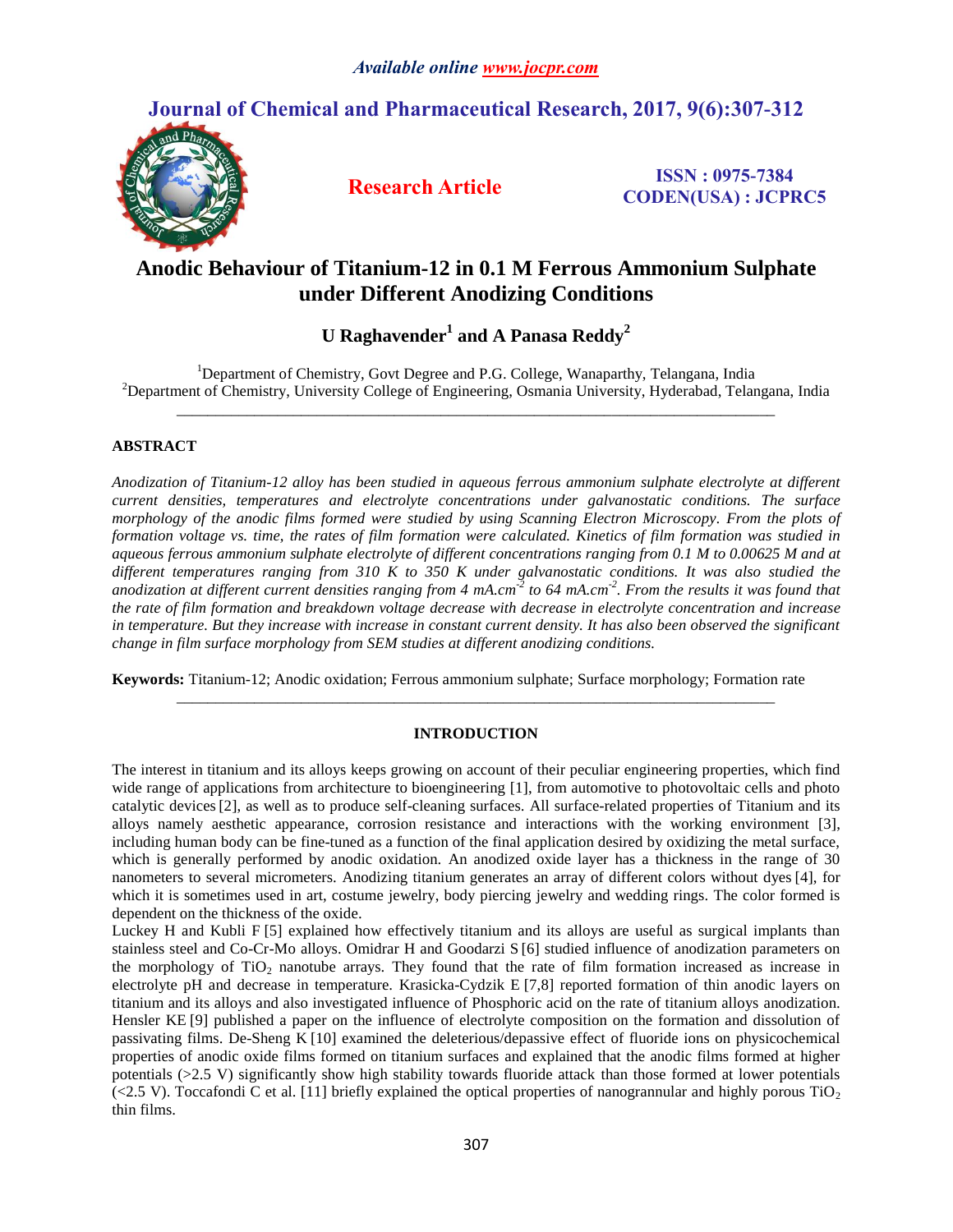# **Journal of Chemical and Pharmaceutical Research, 2017, 9(6):307-312**



**Research Article ISSN : 0975-7384 CODEN(USA) : JCPRC5**

# **Anodic Behaviour of Titanium-12 in 0.1 M Ferrous Ammonium Sulphate under Different Anodizing Conditions**

# $U$  <code>Raghavender $^1$ </code> and A <code>Panasa Reddy $^2$ </code>

<sup>1</sup>Department of Chemistry, Govt Degree and P.G. College, Wanaparthy, Telangana, India <sup>2</sup>Department of Chemistry, University College of Engineering, Osmania University, Hyderabad, Telangana, India *\_\_\_\_\_\_\_\_\_\_\_\_\_\_\_\_\_\_\_\_\_\_\_\_\_\_\_\_\_\_\_\_\_\_\_\_\_\_\_\_\_\_\_\_\_\_\_\_\_\_\_\_\_\_\_\_\_\_\_\_\_\_\_\_\_\_\_\_\_\_\_\_\_\_\_\_\_*

## **ABSTRACT**

*Anodization of Titanium-12 alloy has been studied in aqueous ferrous ammonium sulphate electrolyte at different current densities, temperatures and electrolyte concentrations under galvanostatic conditions. The surface morphology of the anodic films formed were studied by using Scanning Electron Microscopy. From the plots of formation voltage vs. time, the rates of film formation were calculated. Kinetics of film formation was studied in aqueous ferrous ammonium sulphate electrolyte of different concentrations ranging from 0.1 M to 0.00625 M and at different temperatures ranging from 310 K to 350 K under galvanostatic conditions. It was also studied the*  anodization at different current densities ranging from 4 mA.cm<sup>-2</sup> to 64 mA.cm<sup>-2</sup>. From the results it was found that *the rate of film formation and breakdown voltage decrease with decrease in electrolyte concentration and increase in temperature. But they increase with increase in constant current density. It has also been observed the significant change in film surface morphology from SEM studies at different anodizing conditions.*

**Keywords:** Titanium-12; Anodic oxidation; Ferrous ammonium sulphate; Surface morphology; Formation rate

### **INTRODUCTION**

*\_\_\_\_\_\_\_\_\_\_\_\_\_\_\_\_\_\_\_\_\_\_\_\_\_\_\_\_\_\_\_\_\_\_\_\_\_\_\_\_\_\_\_\_\_\_\_\_\_\_\_\_\_\_\_\_\_\_\_\_\_\_\_\_\_\_\_\_\_\_\_\_\_\_\_\_\_*

The interest in titanium and its alloys keeps growing on account of their peculiar engineering properties, which find wide range of applications from architecture to bioengineering [1], from automotive to photovoltaic cells and photo catalytic devices[2], as well as to produce self-cleaning surfaces. All surface-related properties of Titanium and its alloys namely aesthetic appearance, corrosion resistance and interactions with the working environment [3], including human body can be fine-tuned as a function of the final application desired by oxidizing the metal surface, which is generally performed by anodic oxidation. An anodized oxide layer has a thickness in the range of 30 nanometers to several micrometers. Anodizing titanium generates an array of different colors without dyes [4], for which it is sometimes used in art, costume jewelry, body piercing jewelry and wedding rings. The color formed is dependent on the thickness of the oxide.

Luckey H and Kubli F [5] explained how effectively titanium and its alloys are useful as surgical implants than stainless steel and Co-Cr-Mo alloys. Omidrar H and Goodarzi S [6] studied influence of anodization parameters on the morphology of  $TiO<sub>2</sub>$  nanotube arrays. They found that the rate of film formation increased as increase in electrolyte pH and decrease in temperature. Krasicka-Cydzik E [7,8] reported formation of thin anodic layers on titanium and its alloys and also investigated influence of Phosphoric acid on the rate of titanium alloys anodization. Hensler KE [9] published a paper on the influence of electrolyte composition on the formation and dissolution of passivating films. De-Sheng K [10] examined the deleterious/depassive effect of fluoride ions on physicochemical properties of anodic oxide films formed on titanium surfaces and explained that the anodic films formed at higher potentials (>2.5 V) significantly show high stability towards fluoride attack than those formed at lower potentials  $\langle$  (<2.5 V). Toccafondi C et al. [11] briefly explained the optical properties of nanogrannular and highly porous TiO<sub>2</sub> thin films.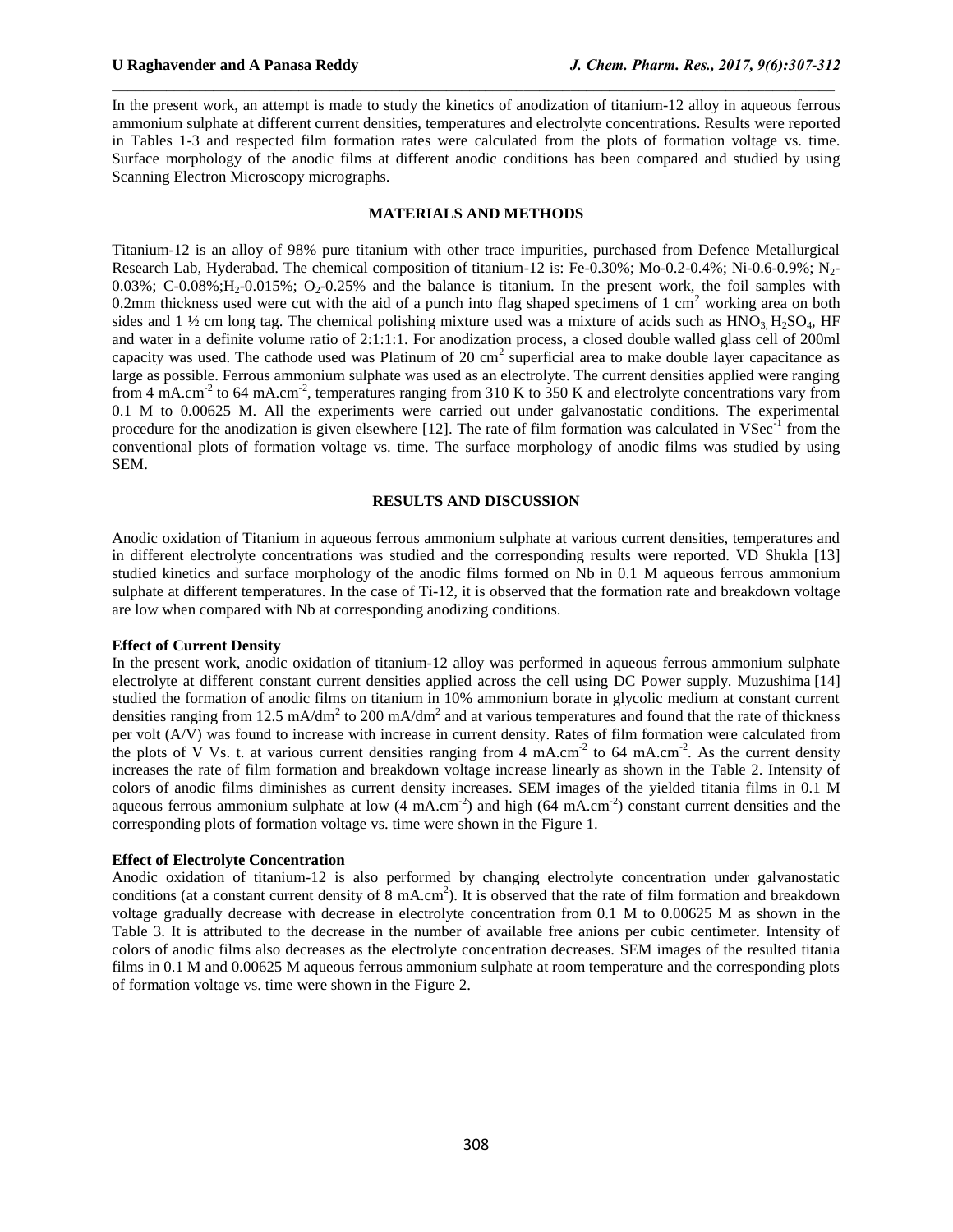In the present work, an attempt is made to study the kinetics of anodization of titanium-12 alloy in aqueous ferrous ammonium sulphate at different current densities, temperatures and electrolyte concentrations. Results were reported in Tables 1-3 and respected film formation rates were calculated from the plots of formation voltage vs. time. Surface morphology of the anodic films at different anodic conditions has been compared and studied by using Scanning Electron Microscopy micrographs.

 $\mathcal{L}_\mathcal{L} = \mathcal{L}_\mathcal{L}$ 

#### **MATERIALS AND METHODS**

Titanium-12 is an alloy of 98% pure titanium with other trace impurities, purchased from Defence Metallurgical Research Lab, Hyderabad. The chemical composition of titanium-12 is: Fe-0.30%; Mo-0.2-0.4%; Ni-0.6-0.9%; N2-  $0.03\%$ ; C-0.08%;H<sub>2</sub>-0.015%; O<sub>2</sub>-0.25% and the balance is titanium. In the present work, the foil samples with 0.2mm thickness used were cut with the aid of a punch into flag shaped specimens of 1 cm<sup>2</sup> working area on both sides and 1  $\frac{1}{2}$  cm long tag. The chemical polishing mixture used was a mixture of acids such as  $HNO<sub>3</sub>, H<sub>2</sub>SO<sub>4</sub>, HF$ and water in a definite volume ratio of 2:1:1:1. For anodization process, a closed double walled glass cell of 200ml capacity was used. The cathode used was Platinum of 20 cm<sup>2</sup> superficial area to make double layer capacitance as large as possible. Ferrous ammonium sulphate was used as an electrolyte. The current densities applied were ranging from 4 mA.cm<sup>-2</sup> to 64 mA.cm<sup>-2</sup>, temperatures ranging from 310 K to 350 K and electrolyte concentrations vary from 0.1 M to 0.00625 M. All the experiments were carried out under galvanostatic conditions. The experimental procedure for the anodization is given elsewhere [12]. The rate of film formation was calculated in  $V \text{Sec}^1$  from the conventional plots of formation voltage vs. time. The surface morphology of anodic films was studied by using SEM.

#### **RESULTS AND DISCUSSION**

Anodic oxidation of Titanium in aqueous ferrous ammonium sulphate at various current densities, temperatures and in different electrolyte concentrations was studied and the corresponding results were reported. VD Shukla [13] studied kinetics and surface morphology of the anodic films formed on Nb in 0.1 M aqueous ferrous ammonium sulphate at different temperatures. In the case of Ti-12, it is observed that the formation rate and breakdown voltage are low when compared with Nb at corresponding anodizing conditions.

#### **Effect of Current Density**

In the present work, anodic oxidation of titanium-12 alloy was performed in aqueous ferrous ammonium sulphate electrolyte at different constant current densities applied across the cell using DC Power supply. Muzushima [14] studied the formation of anodic films on titanium in 10% ammonium borate in glycolic medium at constant current densities ranging from 12.5 mA/dm<sup>2</sup> to 200 mA/dm<sup>2</sup> and at various temperatures and found that the rate of thickness per volt (A/V) was found to increase with increase in current density. Rates of film formation were calculated from the plots of V Vs. t. at various current densities ranging from 4 mA.cm<sup>-2</sup> to 64 mA.cm<sup>-2</sup>. As the current density increases the rate of film formation and breakdown voltage increase linearly as shown in the Table 2. Intensity of colors of anodic films diminishes as current density increases. SEM images of the yielded titania films in 0.1 M aqueous ferrous ammonium sulphate at low  $(4 \text{ mA.cm}^2)$  and high  $(64 \text{ mA.cm}^2)$  constant current densities and the corresponding plots of formation voltage vs. time were shown in the Figure 1.

### **Effect of Electrolyte Concentration**

Anodic oxidation of titanium-12 is also performed by changing electrolyte concentration under galvanostatic conditions (at a constant current density of  $\overline{8}$  mA.cm<sup>2</sup>). It is observed that the rate of film formation and breakdown voltage gradually decrease with decrease in electrolyte concentration from 0.1 M to 0.00625 M as shown in the Table 3. It is attributed to the decrease in the number of available free anions per cubic centimeter. Intensity of colors of anodic films also decreases as the electrolyte concentration decreases. SEM images of the resulted titania films in 0.1 M and 0.00625 M aqueous ferrous ammonium sulphate at room temperature and the corresponding plots of formation voltage vs. time were shown in the Figure 2.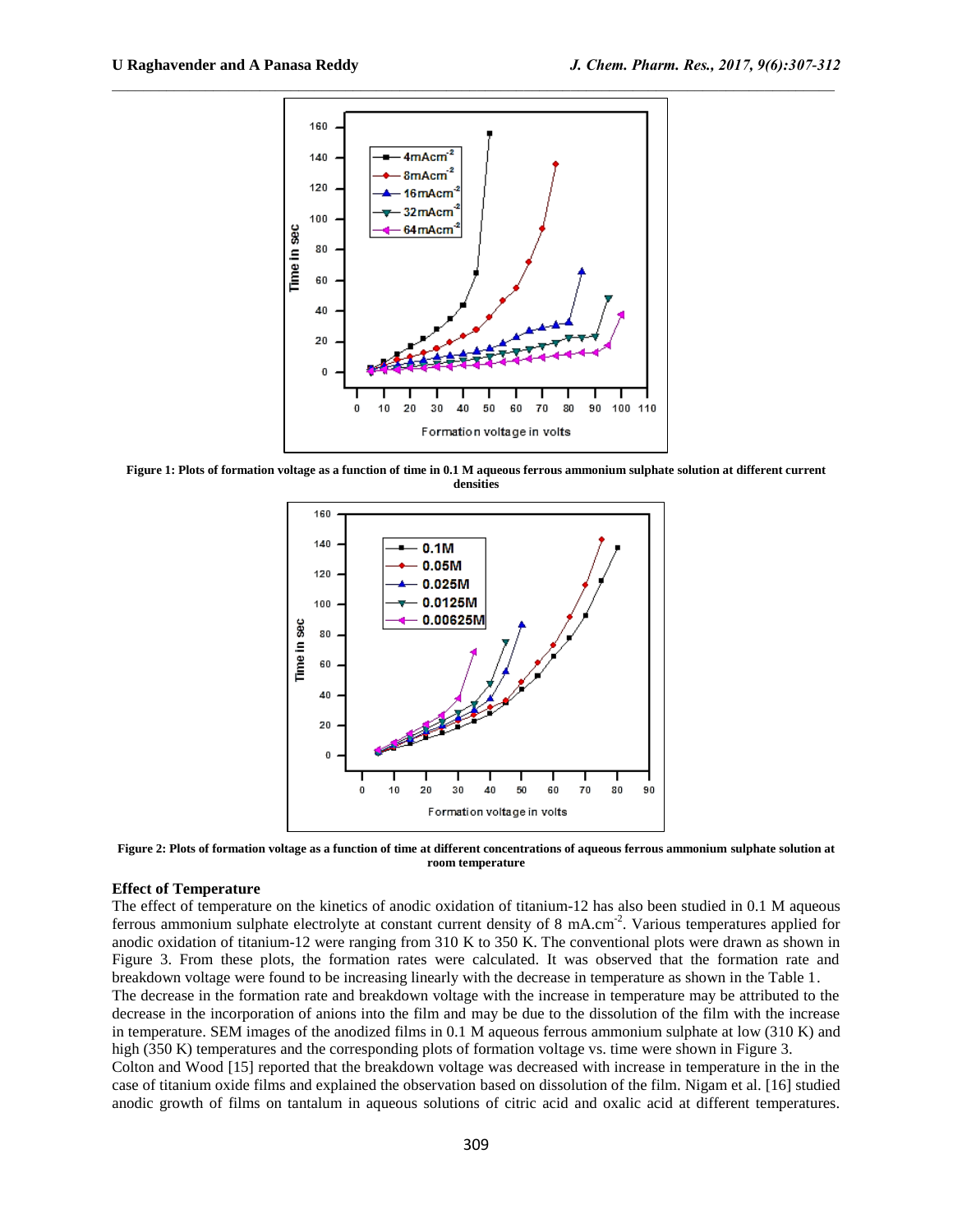

**Figure 1: Plots of formation voltage as a function of time in 0.1 M aqueous ferrous ammonium sulphate solution at different current densities**



**Figure 2: Plots of formation voltage as a function of time at different concentrations of aqueous ferrous ammonium sulphate solution at room temperature**

### **Effect of Temperature**

The effect of temperature on the kinetics of anodic oxidation of titanium-12 has also been studied in 0.1 M aqueous ferrous ammonium sulphate electrolyte at constant current density of 8 mA.cm<sup>-2</sup>. Various temperatures applied for anodic oxidation of titanium-12 were ranging from 310 K to 350 K. The conventional plots were drawn as shown in Figure 3. From these plots, the formation rates were calculated. It was observed that the formation rate and breakdown voltage were found to be increasing linearly with the decrease in temperature as shown in the Table 1. The decrease in the formation rate and breakdown voltage with the increase in temperature may be attributed to the decrease in the incorporation of anions into the film and may be due to the dissolution of the film with the increase in temperature. SEM images of the anodized films in 0.1 M aqueous ferrous ammonium sulphate at low (310 K) and high (350 K) temperatures and the corresponding plots of formation voltage vs. time were shown in Figure 3. Colton and Wood [15] reported that the breakdown voltage was decreased with increase in temperature in the in the case of titanium oxide films and explained the observation based on dissolution of the film. Nigam et al. [16] studied anodic growth of films on tantalum in aqueous solutions of citric acid and oxalic acid at different temperatures.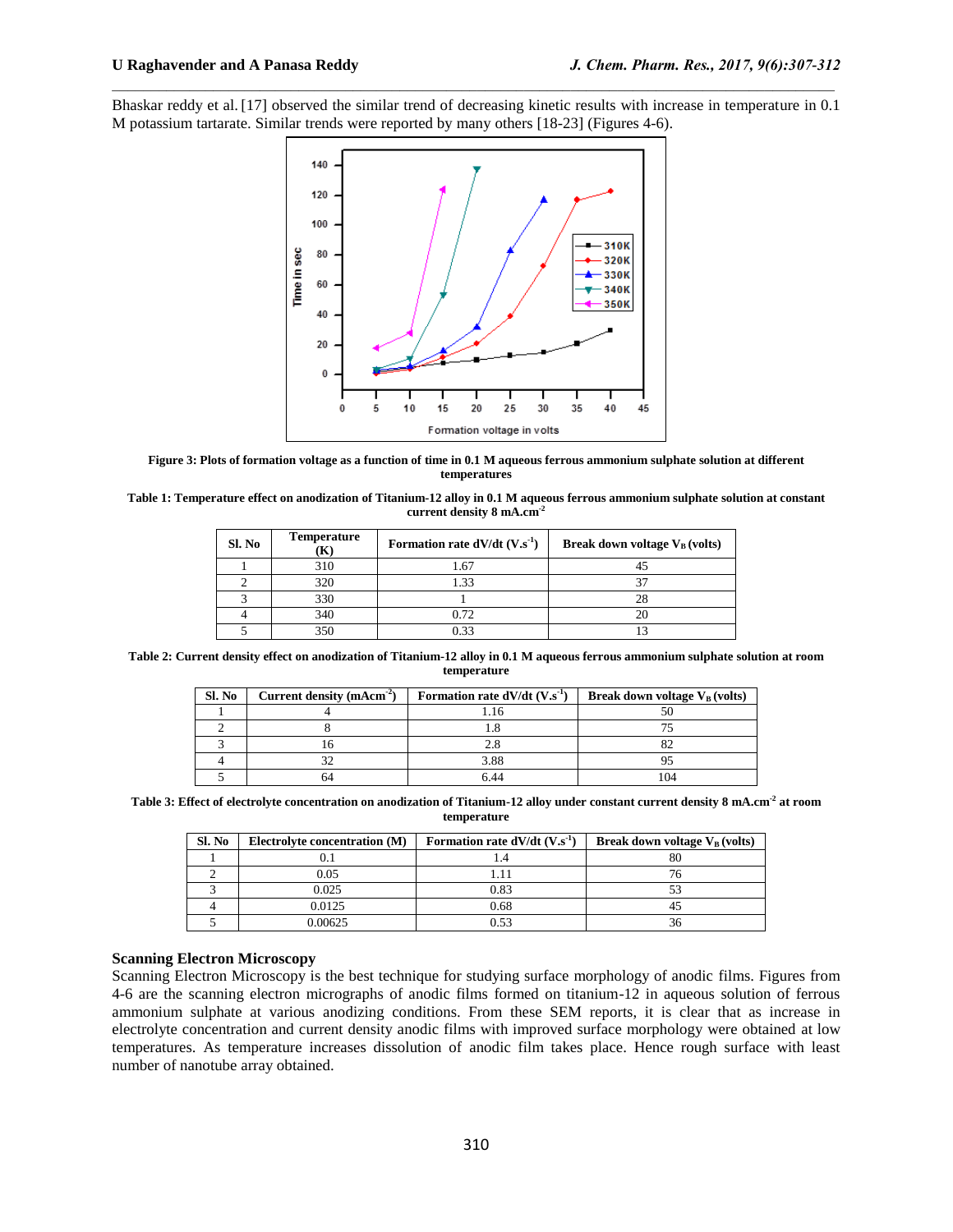Bhaskar reddy et al. [17] observed the similar trend of decreasing kinetic results with increase in temperature in 0.1 M potassium tartarate. Similar trends were reported by many others [18-23] (Figures 4-6).

 $\mathcal{L}_\mathcal{L} = \mathcal{L}_\mathcal{L}$ 



**Figure 3: Plots of formation voltage as a function of time in 0.1 M aqueous ferrous ammonium sulphate solution at different temperatures**

| Table 1: Temperature effect on anodization of Titanium-12 alloy in 0.1 M aqueous ferrous ammonium sulphate solution at constant |
|---------------------------------------------------------------------------------------------------------------------------------|
| current density $8 \text{ mA.cm}^{-2}$                                                                                          |

| Sl. No | <b>Temperature</b><br>$\bf K)$ | Formation rate $dV/dt$ (V.s <sup>-1</sup> ) | Break down voltage $V_B$ (volts) |
|--------|--------------------------------|---------------------------------------------|----------------------------------|
|        | 310                            | 1.67                                        |                                  |
|        | 320                            | 1.33                                        |                                  |
|        | 330                            |                                             |                                  |
|        | 340                            | 0.72                                        |                                  |
|        | 350                            | 0.33                                        |                                  |

**Table 2: Current density effect on anodization of Titanium-12 alloy in 0.1 M aqueous ferrous ammonium sulphate solution at room temperature**

| Sl. No | Current density (mAcm <sup>-2</sup> ) | Formation rate $dV/dt$ (V.s <sup>-1</sup> ) | Break down voltage $V_B$ (volts) |
|--------|---------------------------------------|---------------------------------------------|----------------------------------|
|        |                                       |                                             |                                  |
|        |                                       |                                             |                                  |
|        |                                       |                                             |                                  |
|        |                                       | 3.88                                        |                                  |
|        |                                       |                                             |                                  |

**Table 3: Effect of electrolyte concentration on anodization of Titanium-12 alloy under constant current density 8 mA.cm-2 at room temperature**

| Sl. No | Electrolyte concentration (M) | Formation rate $dV/dt$ (V.s <sup>-1</sup> ) | Break down voltage $V_B$ (volts) |
|--------|-------------------------------|---------------------------------------------|----------------------------------|
|        |                               |                                             | OU.                              |
|        | 0.05                          |                                             |                                  |
|        | 0.025                         | 0.83                                        |                                  |
|        | 0.0125                        | 0.68                                        |                                  |
|        | 0.00625                       |                                             |                                  |

## **Scanning Electron Microscopy**

Scanning Electron Microscopy is the best technique for studying surface morphology of anodic films. Figures from 4-6 are the scanning electron micrographs of anodic films formed on titanium-12 in aqueous solution of ferrous ammonium sulphate at various anodizing conditions. From these SEM reports, it is clear that as increase in electrolyte concentration and current density anodic films with improved surface morphology were obtained at low temperatures. As temperature increases dissolution of anodic film takes place. Hence rough surface with least number of nanotube array obtained.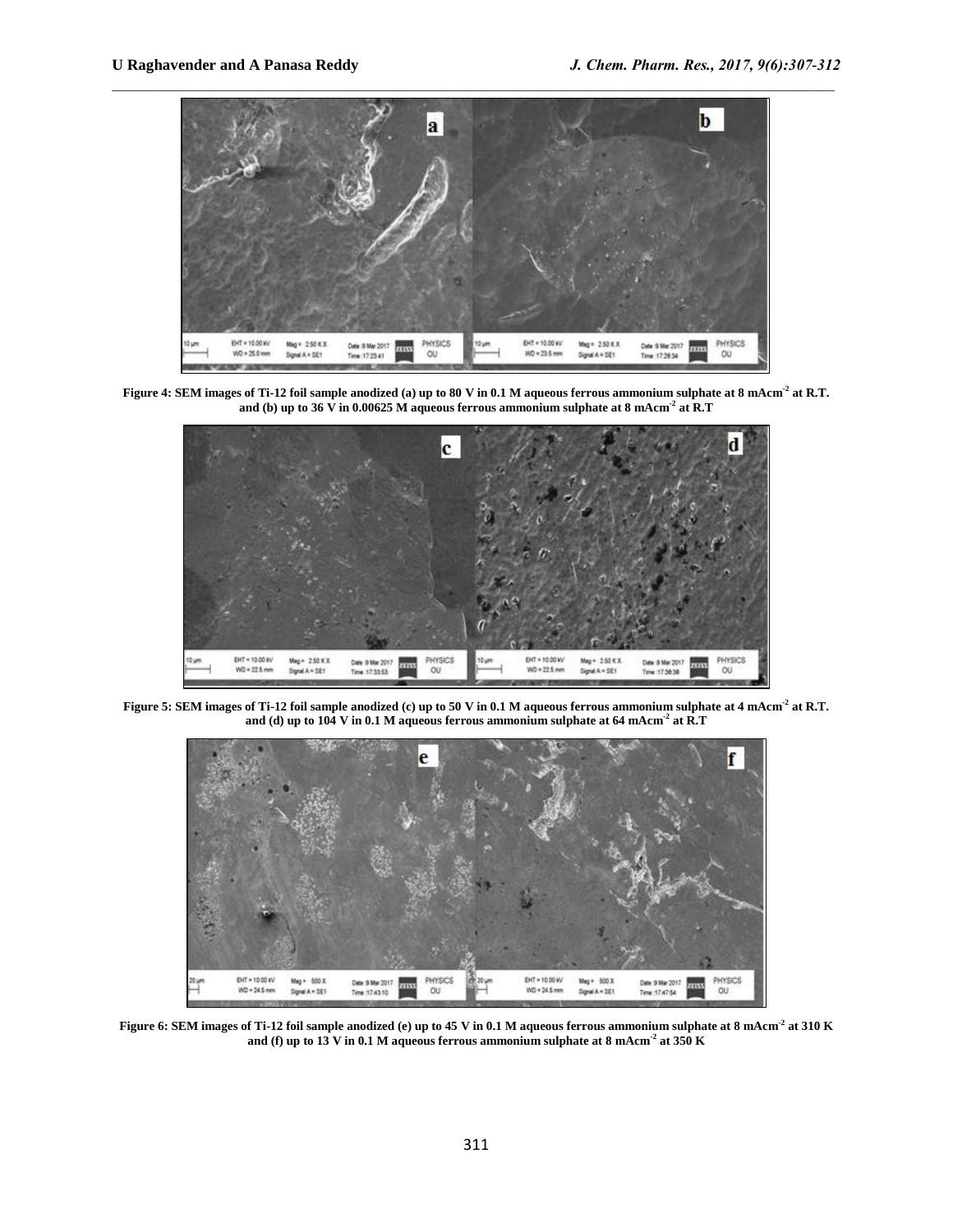

**Figure 4: SEM images of Ti-12 foil sample anodized (a) up to 80 V in 0.1 M aqueous ferrous ammonium sulphate at 8 mAcm-2 at R.T. and (b) up to 36 V in 0.00625 M aqueous ferrous ammonium sulphate at 8 mAcm-2 at R.T**



**Figure 5: SEM images of Ti-12 foil sample anodized (c) up to 50 V in 0.1 M aqueous ferrous ammonium sulphate at 4 mAcm-2 at R.T. and (d) up to 104 V in 0.1 M aqueous ferrous ammonium sulphate at 64 mAcm-2 at R.T**



**Figure 6: SEM images of Ti-12 foil sample anodized (e) up to 45 V in 0.1 M aqueous ferrous ammonium sulphate at 8 mAcm-2 at 310 K and (f) up to 13 V in 0.1 M aqueous ferrous ammonium sulphate at 8 mAcm-2 at 350 K**